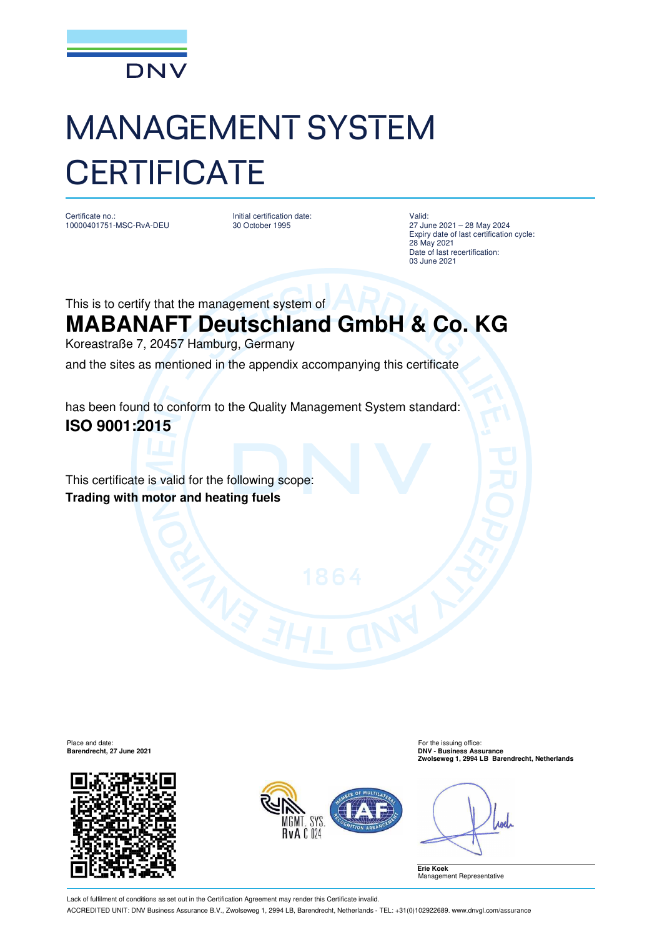

## MANAGEMENT SYSTEM **CERTIFICATE**

Certificate no.: 10000401751-MSC-RvA-DEU Initial certification date: 30 October 1995

Valid: 27 June 2021 – 28 May 2024 Expiry date of last certification cycle: 28 May 2021 Date of last recertification: 03 June 2021

This is to certify that the management system of

## **MABANAFT Deutschland GmbH & Co. KG**

Koreastraße 7, 20457 Hamburg, Germany

and the sites as mentioned in the appendix accompanying this certificate

has been found to conform to the Quality Management System standard: **ISO 9001:2015**

This certificate is valid for the following scope: **Trading with motor and heating fuels**



Place and date: For the issuing office: **Barendrecht, 27 June 2021 DNV - Business Assurance Zwolseweg 1, 2994 LB Barendrecht, Netherlands**



**ABRI** 

**Erie Koek** Management Representative

Lack of fulfilment of conditions as set out in the Certification Agreement may render this Certificate invalid. ACCREDITED UNIT: DNV Business Assurance B.V., Zwolseweg 1, 2994 LB, Barendrecht, Netherlands - TEL: +31(0)102922689. www.dnvgl.com/assurance